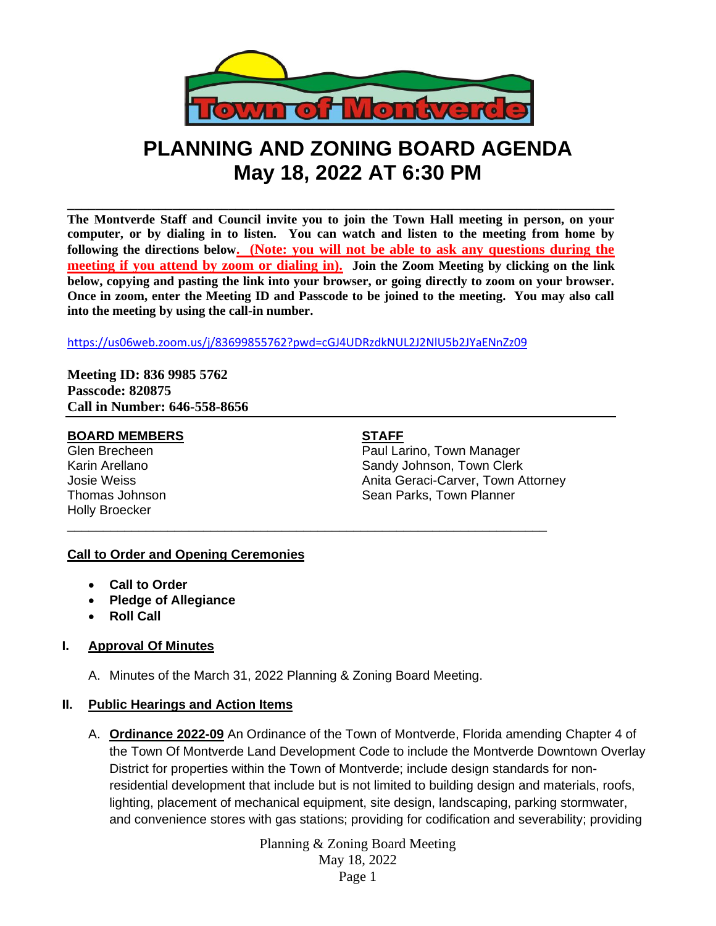

# **PLANNING AND ZONING BOARD AGENDA May 18, 2022 AT 6:30 PM**

**\_\_\_\_\_\_\_\_\_\_\_\_\_\_\_\_\_\_\_\_\_\_\_\_\_\_\_\_\_\_\_\_\_\_\_\_\_\_\_\_\_\_\_\_\_\_\_\_\_\_\_\_\_\_\_\_\_\_\_\_\_\_\_\_\_\_\_\_\_\_\_\_\_\_\_\_\_\_ The Montverde Staff and Council invite you to join the Town Hall meeting in person, on your computer, or by dialing in to listen. You can watch and listen to the meeting from home by following the directions below. (Note: you will not be able to ask any questions during the meeting if you attend by zoom or dialing in). Join the Zoom Meeting by clicking on the link below, copying and pasting the link into your browser, or going directly to zoom on your browser. Once in zoom, enter the Meeting ID and Passcode to be joined to the meeting. You may also call into the meeting by using the call-in number.**

<https://us06web.zoom.us/j/83699855762?pwd=cGJ4UDRzdkNUL2J2NlU5b2JYaENnZz09>

\_\_\_\_\_\_\_\_\_\_\_\_\_\_\_\_\_\_\_\_\_\_\_\_\_\_\_\_\_\_\_\_\_\_\_\_\_\_\_\_\_\_\_\_\_\_\_\_\_\_\_\_\_\_\_\_\_\_\_\_\_\_\_\_\_\_\_

**Meeting ID: 836 9985 5762 Passcode: 820875 Call in Number: 646-558-8656**

### **BOARD MEMBERS STAFF**

Holly Broecker

Glen Brecheen **Paul Larino**, Town Manager Karin Arellano **Sandy Johnson, Town Clerk** Sandy Johnson, Town Clerk Josie Weiss Anita Geraci-Carver, Town Attorney Thomas Johnson **Sean Parks**, Town Planner

# **Call to Order and Opening Ceremonies**

- **Call to Order**
- **Pledge of Allegiance**
- **Roll Call**

# **I. Approval Of Minutes**

A. Minutes of the March 31, 2022 Planning & Zoning Board Meeting.

# **II. Public Hearings and Action Items**

A. **Ordinance 2022-09** An Ordinance of the Town of Montverde, Florida amending Chapter 4 of the Town Of Montverde Land Development Code to include the Montverde Downtown Overlay District for properties within the Town of Montverde; include design standards for nonresidential development that include but is not limited to building design and materials, roofs, lighting, placement of mechanical equipment, site design, landscaping, parking stormwater, and convenience stores with gas stations; providing for codification and severability; providing

> Planning & Zoning Board Meeting May 18, 2022 Page 1